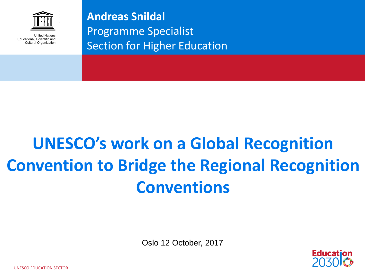

**Andreas Snildal** Programme Specialist Section for Higher Education

## **UNESCO's work on a Global Recognition Convention to Bridge the Regional Recognition Conventions**

Oslo 12 October, 2017



UNESCO EDUCATION SECTOR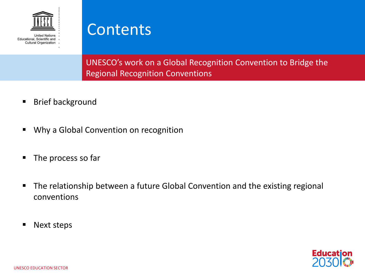

**United Nations** Educational, Scientific and Cultural Organization



UNESCO's work on a Global Recognition Convention to Bridge the Regional Recognition Conventions

- **Brief background**
- Why a Global Convention on recognition
- The process so far
- The relationship between a future Global Convention and the existing regional conventions
- Next steps

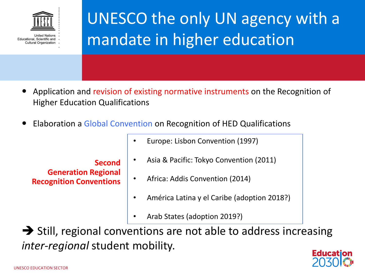

### UNESCO the only UN agency with a mandate in higher education

- Application and revision of existing normative instruments on the Recognition of Higher Education Qualifications
- Elaboration a Global Convention on Recognition of HED Qualifications

- **Second Generation Regional Recognition Conventions**
- Europe: Lisbon Convention (1997)
- Asia & Pacific: Tokyo Convention (2011)
- Africa: Addis Convention (2014)
- América Latina y el Caribe (adoption 2018?)
- Arab States (adoption 2019?)

 $\rightarrow$  Still, regional conventions are not able to address increasing *inter-regional* student mobility.

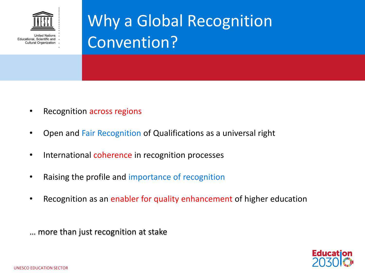

## Why a Global Recognition Convention?

- Recognition across regions
- Open and Fair Recognition of Qualifications as a universal right
- International coherence in recognition processes
- Raising the profile and importance of recognition
- Recognition as an enabler for quality enhancement of higher education

… more than just recognition at stake

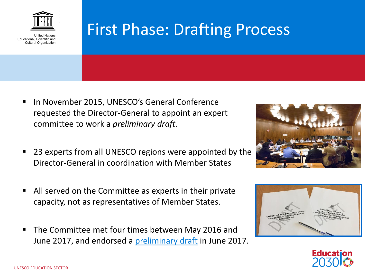

#### First Phase: Drafting Process

- In November 2015, UNESCO's General Conference requested the Director-General to appoint an expert committee to work a *preliminary draft*.
- 23 experts from all UNESCO regions were appointed by the Director-General in coordination with Member States
- All served on the Committee as experts in their private capacity, not as representatives of Member States.
- The Committee met four times between May 2016 and June 2017, and endorsed a [preliminary draft](http://unesdoc.unesco.org/images/0025/002530/253046e.pdf) in June 2017.





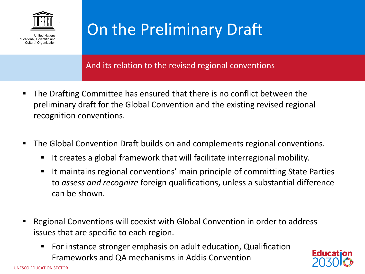

#### On the Preliminary Draft

And its relation to the revised regional conventions

- The Drafting Committee has ensured that there is no conflict between the preliminary draft for the Global Convention and the existing revised regional recognition conventions.
- The Global Convention Draft builds on and complements regional conventions.
	- It creates a global framework that will facilitate interregional mobility.
	- It maintains regional conventions' main principle of committing State Parties to *assess and recognize* foreign qualifications, unless a substantial difference can be shown.
- Regional Conventions will coexist with Global Convention in order to address issues that are specific to each region.
	- For instance stronger emphasis on adult education, Qualification Frameworks and QA mechanisms in Addis Convention

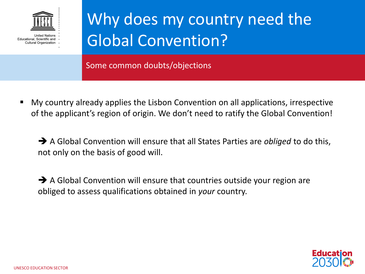

### Why does my country need the Global Convention?

Some common doubts/objections

 My country already applies the Lisbon Convention on all applications, irrespective of the applicant's region of origin. We don't need to ratify the Global Convention!

 A Global Convention will ensure that all States Parties are *obliged* to do this, not only on the basis of good will.

 $\rightarrow$  A Global Convention will ensure that countries outside your region are obliged to assess qualifications obtained in *your* country.

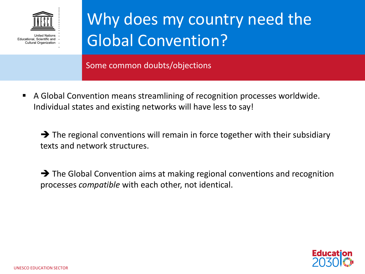

### Why does my country need the Global Convention?

Some common doubts/objections

 A Global Convention means streamlining of recognition processes worldwide. Individual states and existing networks will have less to say!

 $\rightarrow$  The regional conventions will remain in force together with their subsidiary texts and network structures.

 $\rightarrow$  The Global Convention aims at making regional conventions and recognition processes *compatible* with each other, not identical.

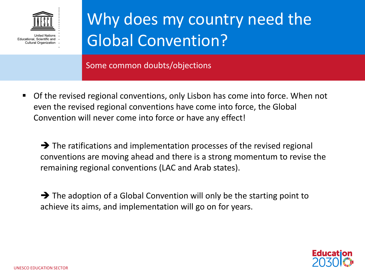

### Why does my country need the Global Convention?

Some common doubts/objections

 Of the revised regional conventions, only Lisbon has come into force. When not even the revised regional conventions have come into force, the Global Convention will never come into force or have any effect!

 $\rightarrow$  The ratifications and implementation processes of the revised regional conventions are moving ahead and there is a strong momentum to revise the remaining regional conventions (LAC and Arab states).

 $\rightarrow$  The adoption of a Global Convention will only be the starting point to achieve its aims, and implementation will go on for years.

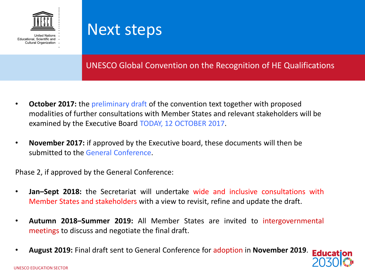



#### UNESCO Global Convention on the Recognition of HE Qualifications

- **October 2017:** the preliminary draft of the convention text together with proposed modalities of further consultations with Member States and relevant stakeholders will be examined by the Executive Board TODAY, 12 OCTOBER 2017.
- **November 2017:** if approved by the Executive board, these documents will then be submitted to the General Conference.

Phase 2, if approved by the General Conference:

- **Jan–Sept 2018:** the Secretariat will undertake wide and inclusive consultations with Member States and stakeholders with a view to revisit, refine and update the draft.
- **Autumn 2018–Summer 2019:** All Member States are invited to intergovernmental meetings to discuss and negotiate the final draft.
- **August 2019:** Final draft sent to General Conference for adoption in **November 2019**.